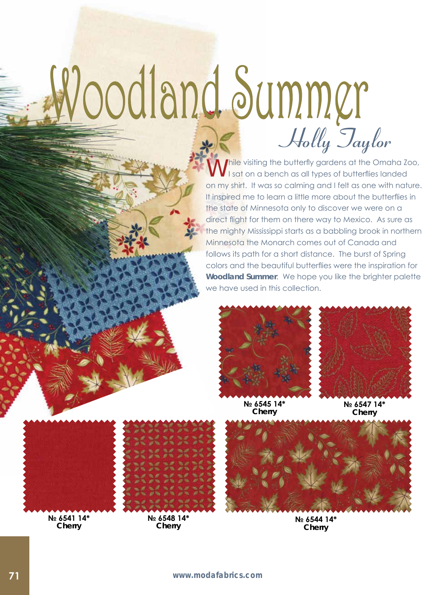## Woodland Summer Holly Taylor

*I* hile visiting the butterfly gardens at the Omaha Zoo, I sat on a bench as all types of butterflies landed on my shirt. It was so calming and I felt as one with nature. It inspired me to learn a little more about the butterflies in the state of Minnesota only to discover we were on a direct flight for them on there way to Mexico. As sure as the mighty Mississippi starts as a babbling brook in northern Minnesota the Monarch comes out of Canada and follows its path for a short distance. The burst of Spring colors and the beautiful butterflies were the inspiration for *Woodland Summer*. We hope you like the brighter palette we have used in this collection.





**№ 6545 14\* Cherry**

**№ 6547 14\* Cherry**







**№ 6541 14\* Cherry**



**№ 6548 14\* Cherry**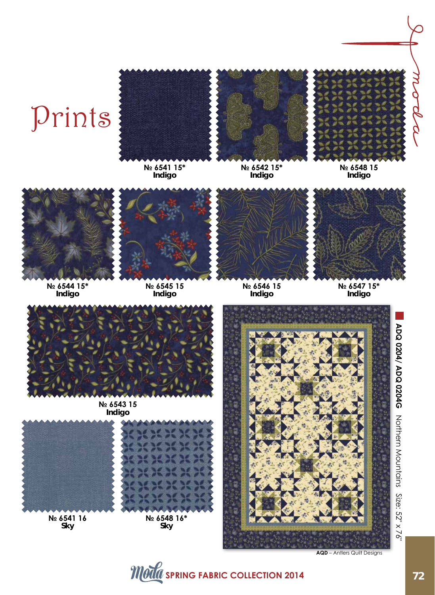## Prints



**№ 6541 15\* Indigo**





**№ 6544 15\* Indigo**



**№ 6545 15 Indigo**



**№ 6546 15 Indigo**



**Indigo**

**№ 6547 15\* Indigo**



**№ 6543 15 Indigo**



**№ 6541 16 Sky**





**AQD** – Antlers Quilt Designs

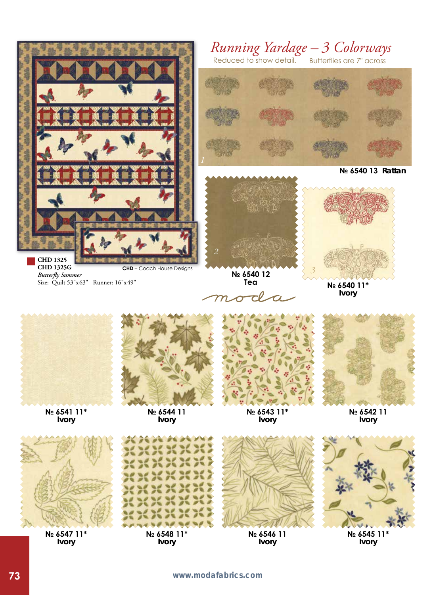

**Ivory**

**73 www.modafabrics.com**

**Ivory**

**Ivory**

**Ivory**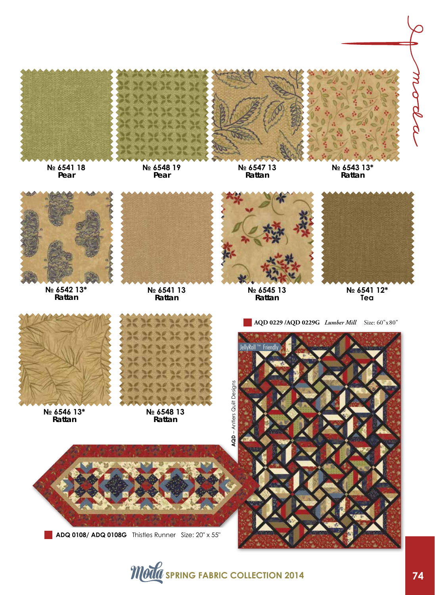

**ADQ 0108/ ADQ 0108G** Thistles Runner Size: 20" x 55"

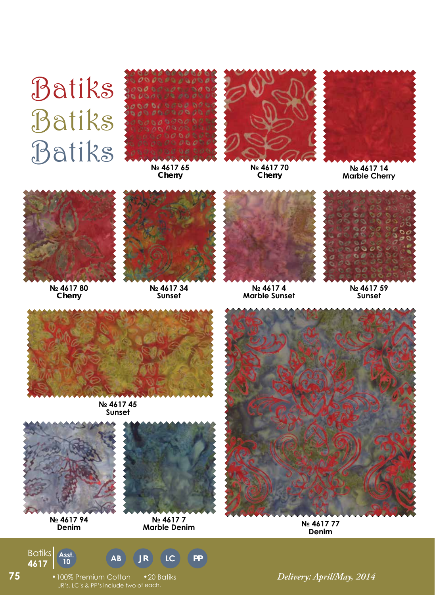## Batiks Batiks Batiks



**№ 4617 65 Cherry**



**№ 4617 70 Cherry**



**№ 4617 14 Marble Cherry**



**№ 4617 80 Cherry**



**№ 4617 34 Sunset**



**№ 4617 4 Marble Sunset**



**№ 4617 59 Sunset**



**№ 4617 45 Sunset**



**№ 4617 94 Denim**

**<sup>10</sup> 4617**

Batiks

**75**



**№ 4617 7 Marble Denim**

**JR LC PP**



**№ 4617 77 Denim**

•100% Premium Cotton •20 Batiks *Delivery: April/May, 2014* JR's, LC's & PP's include two of each.

Ass<del>t</del>. **AB AB**